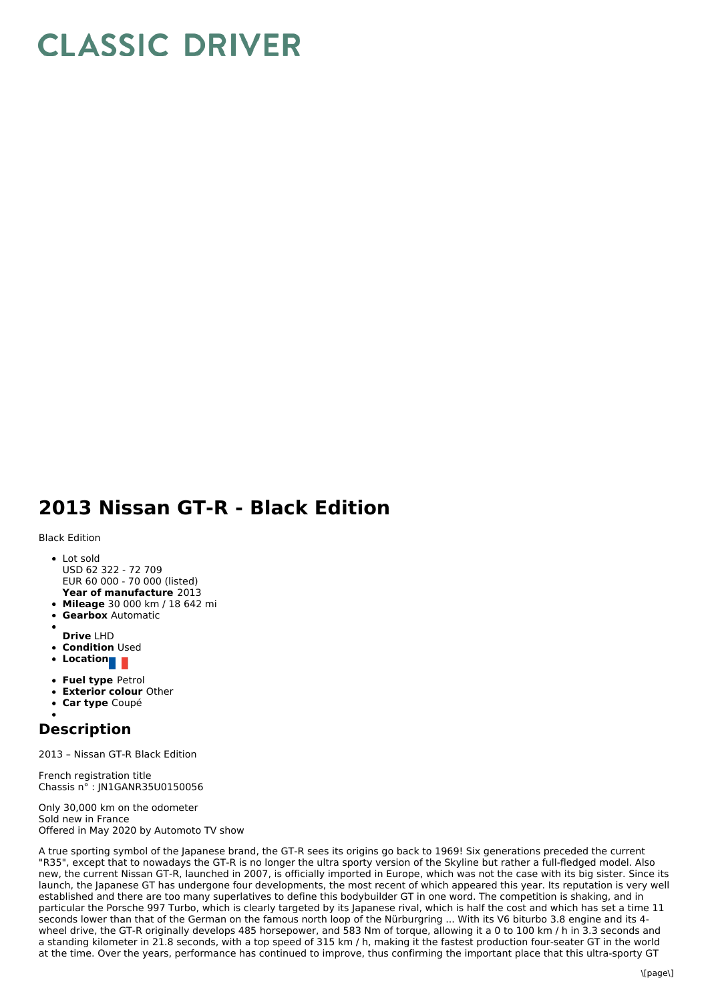## **CLASSIC DRIVER**

## **2013 Nissan GT-R - Black Edition**

Black Edition

- **Year of manufacture** 2013 • Lot sold USD 62 322 - 72 709 EUR 60 000 - 70 000 (listed)
- **Mileage** 30 000 km /18 642 mi
- **Gearbox** Automatic
- **Drive** LHD
- **Condition** Used
- **Location**
- 
- **Fuel type** Petrol
- **Exterior colour** Other
- **Car type** Coupé

## **Description**

2013 – Nissan GT-R Black Edition

French registration title Chassis n° : JN1GANR35U0150056

Only 30,000 km on the odometer Sold new in France Offered in May 2020 by Automoto TV show

A true sporting symbol of the Japanese brand, the GT-R sees its origins go back to 1969! Six generations preceded the current "R35", except that to nowadays the GT-R is no longer the ultra sporty version of the Skyline but rather a full-fledged model. Also new, the current Nissan GT-R, launched in 2007, is officially imported in Europe, which was not the case with its big sister. Since its launch, the Japanese GT has undergone four developments, the most recent of which appeared this year. Its reputation is very well established and there are too many superlatives to define this bodybuilder GT in one word. The competition is shaking, and in particular the Porsche 997 Turbo, which is clearly targeted by its Japanese rival, which is half the cost and which has set a time 11 seconds lower than that of the German on the famous north loop of the Nürburgring ... With its V6 biturbo 3.8 engine and its 4 wheel drive, the GT-R originally develops 485 horsepower, and 583 Nm of torque, allowing it a 0 to 100 km /h in 3.3 seconds and a standing kilometer in 21.8 seconds, with a top speed of 315 km /h, making it the fastest production four-seater GT in the world at the time. Over the years, performance has continued to improve, thus confirming the important place that this ultra-sporty GT